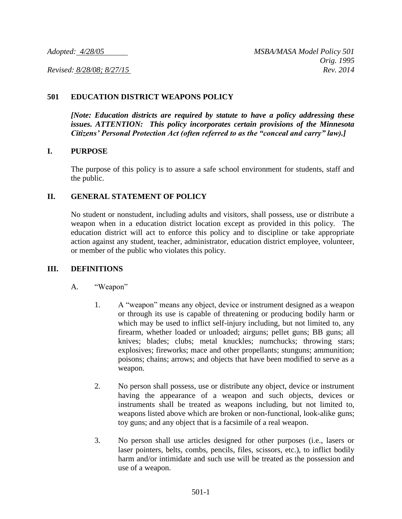# **501 EDUCATION DISTRICT WEAPONS POLICY**

*[Note: Education districts are required by statute to have a policy addressing these issues. ATTENTION: This policy incorporates certain provisions of the Minnesota Citizens' Personal Protection Act (often referred to as the "conceal and carry" law).]*

### **I. PURPOSE**

The purpose of this policy is to assure a safe school environment for students, staff and the public.

# **II. GENERAL STATEMENT OF POLICY**

No student or nonstudent, including adults and visitors, shall possess, use or distribute a weapon when in a education district location except as provided in this policy. The education district will act to enforce this policy and to discipline or take appropriate action against any student, teacher, administrator, education district employee, volunteer, or member of the public who violates this policy.

### **III. DEFINITIONS**

- A. "Weapon"
	- 1. A "weapon" means any object, device or instrument designed as a weapon or through its use is capable of threatening or producing bodily harm or which may be used to inflict self-injury including, but not limited to, any firearm, whether loaded or unloaded; airguns; pellet guns; BB guns; all knives; blades; clubs; metal knuckles; numchucks; throwing stars; explosives; fireworks; mace and other propellants; stunguns; ammunition; poisons; chains; arrows; and objects that have been modified to serve as a weapon.
	- 2. No person shall possess, use or distribute any object, device or instrument having the appearance of a weapon and such objects, devices or instruments shall be treated as weapons including, but not limited to, weapons listed above which are broken or non-functional, look-alike guns; toy guns; and any object that is a facsimile of a real weapon.
	- 3. No person shall use articles designed for other purposes (i.e., lasers or laser pointers, belts, combs, pencils, files, scissors, etc.), to inflict bodily harm and/or intimidate and such use will be treated as the possession and use of a weapon.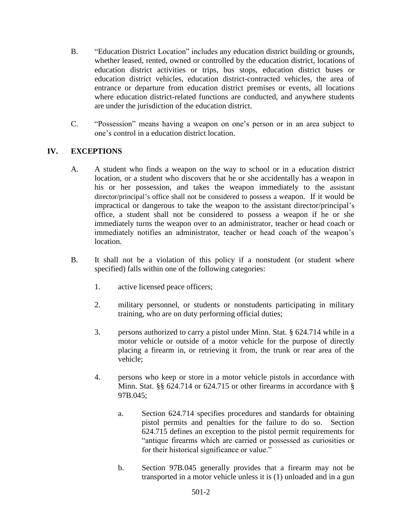- B. "Education District Location" includes any education district building or grounds, whether leased, rented, owned or controlled by the education district, locations of education district activities or trips, bus stops, education district buses or education district vehicles, education district-contracted vehicles, the area of entrance or departure from education district premises or events, all locations where education district-related functions are conducted, and anywhere students are under the jurisdiction of the education district.
- C. "Possession" means having a weapon on one's person or in an area subject to one's control in a education district location.

# **IV. EXCEPTIONS**

- A. A student who finds a weapon on the way to school or in a education district location, or a student who discovers that he or she accidentally has a weapon in his or her possession, and takes the weapon immediately to the assistant director/principal's office shall not be considered to possess a weapon. If it would be impractical or dangerous to take the weapon to the assistant director/principal's office, a student shall not be considered to possess a weapon if he or she immediately turns the weapon over to an administrator, teacher or head coach or immediately notifies an administrator, teacher or head coach of the weapon's location.
- B. It shall not be a violation of this policy if a nonstudent (or student where specified) falls within one of the following categories:
	- 1. active licensed peace officers;
	- 2. military personnel, or students or nonstudents participating in military training, who are on duty performing official duties;
	- 3. persons authorized to carry a pistol under Minn. Stat. § 624.714 while in a motor vehicle or outside of a motor vehicle for the purpose of directly placing a firearm in, or retrieving it from, the trunk or rear area of the vehicle;
	- 4. persons who keep or store in a motor vehicle pistols in accordance with Minn. Stat. §§ 624.714 or 624.715 or other firearms in accordance with § 97B.045;
		- a. Section 624.714 specifies procedures and standards for obtaining pistol permits and penalties for the failure to do so. Section 624.715 defines an exception to the pistol permit requirements for "antique firearms which are carried or possessed as curiosities or for their historical significance or value."
		- b. Section 97B.045 generally provides that a firearm may not be transported in a motor vehicle unless it is (1) unloaded and in a gun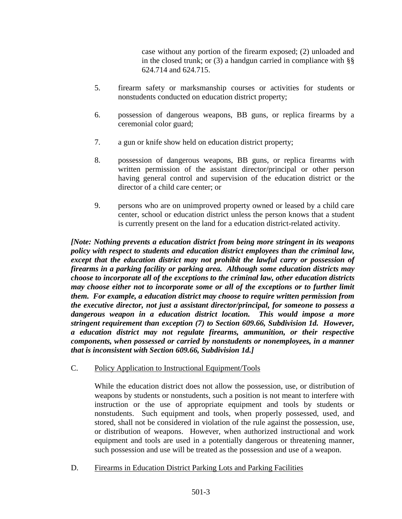case without any portion of the firearm exposed; (2) unloaded and in the closed trunk; or  $(3)$  a handgun carried in compliance with  $\S$ § 624.714 and 624.715.

- 5. firearm safety or marksmanship courses or activities for students or nonstudents conducted on education district property;
- 6. possession of dangerous weapons, BB guns, or replica firearms by a ceremonial color guard;
- 7. a gun or knife show held on education district property;
- 8. possession of dangerous weapons, BB guns, or replica firearms with written permission of the assistant director/principal or other person having general control and supervision of the education district or the director of a child care center; or
- 9. persons who are on unimproved property owned or leased by a child care center, school or education district unless the person knows that a student is currently present on the land for a education district-related activity.

*[Note: Nothing prevents a education district from being more stringent in its weapons policy with respect to students and education district employees than the criminal law, except that the education district may not prohibit the lawful carry or possession of firearms in a parking facility or parking area. Although some education districts may choose to incorporate all of the exceptions to the criminal law, other education districts may choose either not to incorporate some or all of the exceptions or to further limit them. For example, a education district may choose to require written permission from the executive director, not just a assistant director/principal, for someone to possess a dangerous weapon in a education district location. This would impose a more stringent requirement than exception (7) to Section 609.66, Subdivision 1d. However, a education district may not regulate firearms, ammunition, or their respective components, when possessed or carried by nonstudents or nonemployees, in a manner that is inconsistent with Section 609.66, Subdivision 1d.]*

C. Policy Application to Instructional Equipment/Tools

While the education district does not allow the possession, use, or distribution of weapons by students or nonstudents, such a position is not meant to interfere with instruction or the use of appropriate equipment and tools by students or nonstudents. Such equipment and tools, when properly possessed, used, and stored, shall not be considered in violation of the rule against the possession, use, or distribution of weapons. However, when authorized instructional and work equipment and tools are used in a potentially dangerous or threatening manner, such possession and use will be treated as the possession and use of a weapon.

D. Firearms in Education District Parking Lots and Parking Facilities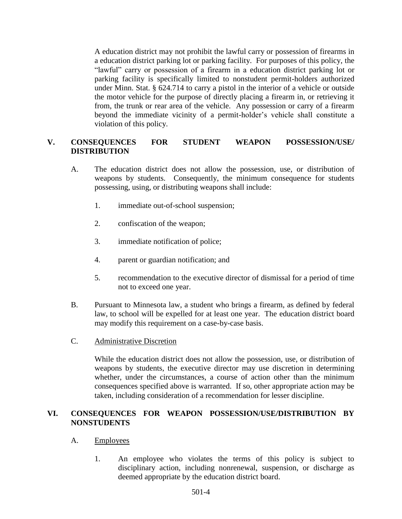A education district may not prohibit the lawful carry or possession of firearms in a education district parking lot or parking facility. For purposes of this policy, the "lawful" carry or possession of a firearm in a education district parking lot or parking facility is specifically limited to nonstudent permit-holders authorized under Minn. Stat. § 624.714 to carry a pistol in the interior of a vehicle or outside the motor vehicle for the purpose of directly placing a firearm in, or retrieving it from, the trunk or rear area of the vehicle. Any possession or carry of a firearm beyond the immediate vicinity of a permit-holder's vehicle shall constitute a violation of this policy.

# **V. CONSEQUENCES FOR STUDENT WEAPON POSSESSION/USE/ DISTRIBUTION**

- A. The education district does not allow the possession, use, or distribution of weapons by students. Consequently, the minimum consequence for students possessing, using, or distributing weapons shall include:
	- 1. immediate out-of-school suspension;
	- 2. confiscation of the weapon;
	- 3. immediate notification of police;
	- 4. parent or guardian notification; and
	- 5. recommendation to the executive director of dismissal for a period of time not to exceed one year.
- B. Pursuant to Minnesota law, a student who brings a firearm, as defined by federal law, to school will be expelled for at least one year. The education district board may modify this requirement on a case-by-case basis.
- C. Administrative Discretion

While the education district does not allow the possession, use, or distribution of weapons by students, the executive director may use discretion in determining whether, under the circumstances, a course of action other than the minimum consequences specified above is warranted. If so, other appropriate action may be taken, including consideration of a recommendation for lesser discipline.

# **VI. CONSEQUENCES FOR WEAPON POSSESSION/USE/DISTRIBUTION BY NONSTUDENTS**

### A. Employees

1. An employee who violates the terms of this policy is subject to disciplinary action, including nonrenewal, suspension, or discharge as deemed appropriate by the education district board.